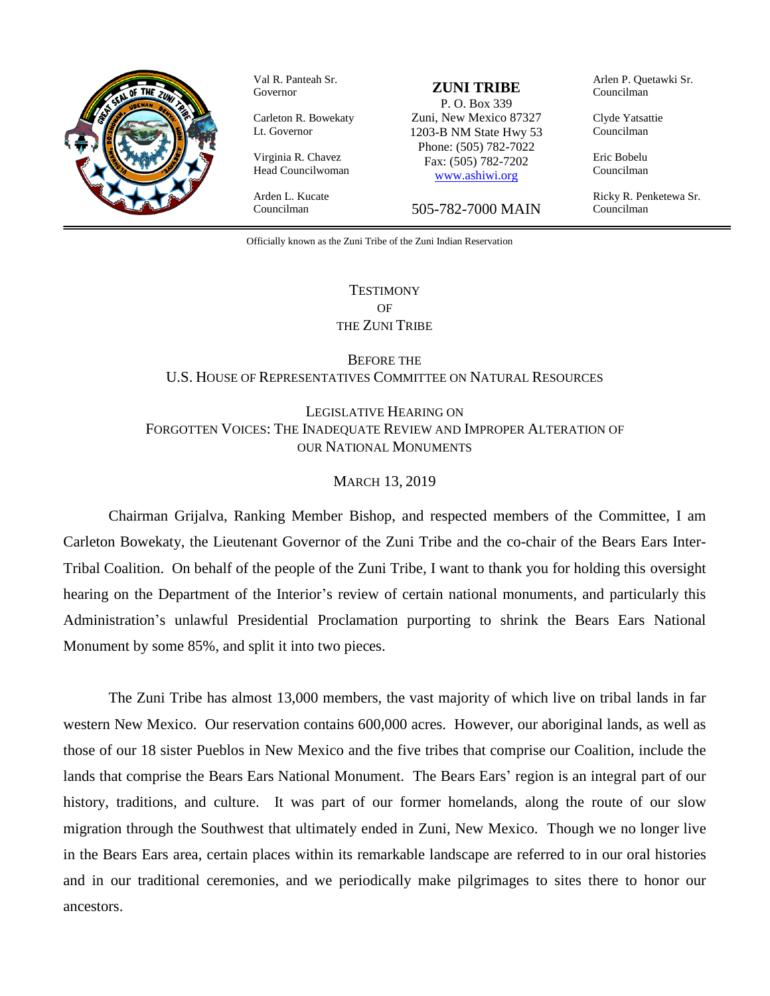

Val R. Panteah Sr. Governor

Carleton R. Bowekaty Lt. Governor

Virginia R. Chavez Head Councilwoman Arden L. Kucate

Councilman

#### **ZUNI TRIBE**

P. O. Box 339 Zuni, New Mexico 87327 1203-B NM State Hwy 53 Phone: (505) 782-7022 Fax: (505) 782-7202 [www.ashiwi.org](http://www.ashiwi.org/)

505-782-7000 MAIN

Arlen P. Quetawki Sr. Councilman

Clyde Yatsattie Councilman

Eric Bobelu Councilman

Ricky R. Penketewa Sr. Councilman

Officially known as the Zuni Tribe of the Zuni Indian Reservation

## **TESTIMONY** OF THE ZUNI TRIBE

BEFORE THE U.S. HOUSE OF REPRESENTATIVES COMMITTEE ON NATURAL RESOURCES

LEGISLATIVE HEARING ON FORGOTTEN VOICES: THE INADEQUATE REVIEW AND IMPROPER ALTERATION OF OUR NATIONAL MONUMENTS

### MARCH 13, 2019

Chairman Grijalva, Ranking Member Bishop, and respected members of the Committee, I am Carleton Bowekaty, the Lieutenant Governor of the Zuni Tribe and the co-chair of the Bears Ears Inter-Tribal Coalition. On behalf of the people of the Zuni Tribe, I want to thank you for holding this oversight hearing on the Department of the Interior's review of certain national monuments, and particularly this Administration's unlawful Presidential Proclamation purporting to shrink the Bears Ears National Monument by some 85%, and split it into two pieces.

The Zuni Tribe has almost 13,000 members, the vast majority of which live on tribal lands in far western New Mexico. Our reservation contains 600,000 acres. However, our aboriginal lands, as well as those of our 18 sister Pueblos in New Mexico and the five tribes that comprise our Coalition, include the lands that comprise the Bears Ears National Monument. The Bears Ears' region is an integral part of our history, traditions, and culture. It was part of our former homelands, along the route of our slow migration through the Southwest that ultimately ended in Zuni, New Mexico. Though we no longer live in the Bears Ears area, certain places within its remarkable landscape are referred to in our oral histories and in our traditional ceremonies, and we periodically make pilgrimages to sites there to honor our ancestors.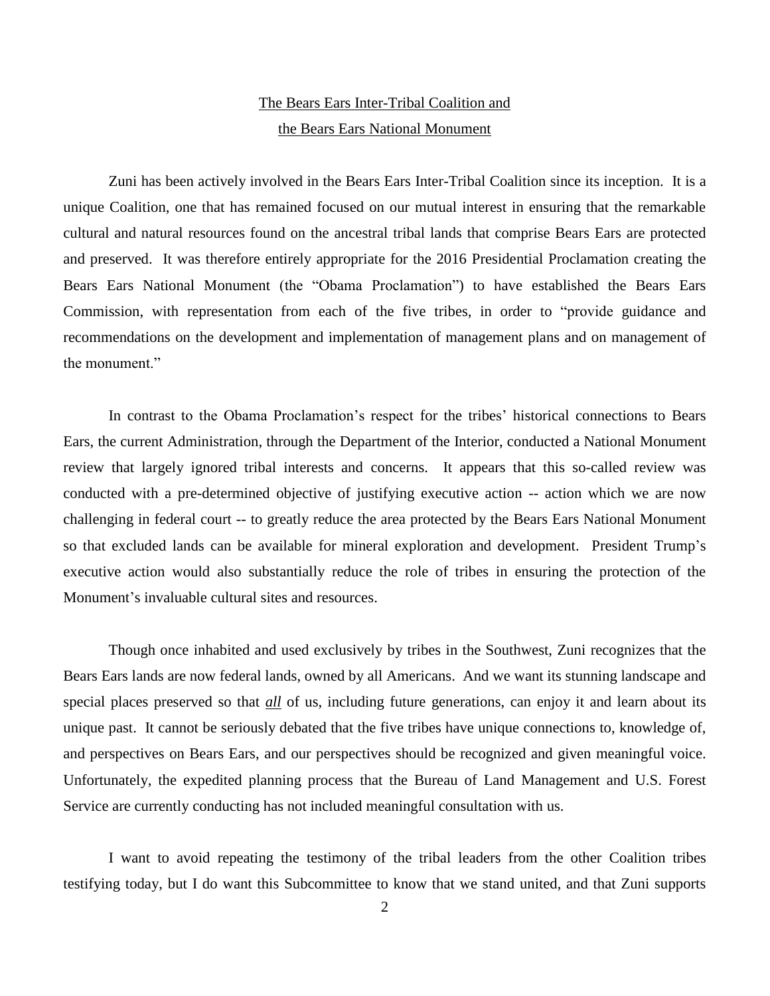# The Bears Ears Inter-Tribal Coalition and the Bears Ears National Monument

Zuni has been actively involved in the Bears Ears Inter-Tribal Coalition since its inception. It is a unique Coalition, one that has remained focused on our mutual interest in ensuring that the remarkable cultural and natural resources found on the ancestral tribal lands that comprise Bears Ears are protected and preserved. It was therefore entirely appropriate for the 2016 Presidential Proclamation creating the Bears Ears National Monument (the "Obama Proclamation") to have established the Bears Ears Commission, with representation from each of the five tribes, in order to "provide guidance and recommendations on the development and implementation of management plans and on management of the monument."

In contrast to the Obama Proclamation's respect for the tribes' historical connections to Bears Ears, the current Administration, through the Department of the Interior, conducted a National Monument review that largely ignored tribal interests and concerns. It appears that this so-called review was conducted with a pre-determined objective of justifying executive action -- action which we are now challenging in federal court -- to greatly reduce the area protected by the Bears Ears National Monument so that excluded lands can be available for mineral exploration and development. President Trump's executive action would also substantially reduce the role of tribes in ensuring the protection of the Monument's invaluable cultural sites and resources.

Though once inhabited and used exclusively by tribes in the Southwest, Zuni recognizes that the Bears Ears lands are now federal lands, owned by all Americans. And we want its stunning landscape and special places preserved so that *all* of us, including future generations, can enjoy it and learn about its unique past. It cannot be seriously debated that the five tribes have unique connections to, knowledge of, and perspectives on Bears Ears, and our perspectives should be recognized and given meaningful voice. Unfortunately, the expedited planning process that the Bureau of Land Management and U.S. Forest Service are currently conducting has not included meaningful consultation with us.

I want to avoid repeating the testimony of the tribal leaders from the other Coalition tribes testifying today, but I do want this Subcommittee to know that we stand united, and that Zuni supports